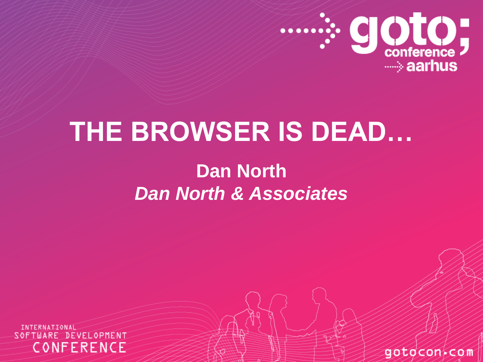

## **THE BROWSER IS DEAD…**

#### **Dan North** *Dan North & Associates*

SOFTWARE DEVELOPMENT CONFERENCE

gotocon com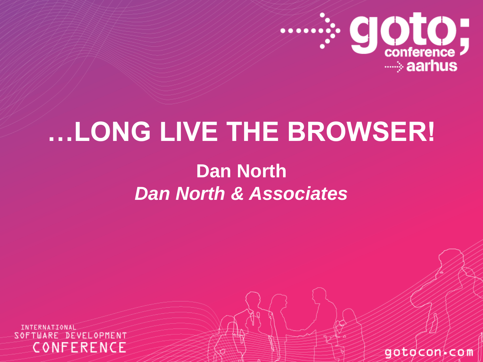

## **…LONG LIVE THE BROWSER!**

#### **Dan North** *Dan North & Associates*

SOFTWARE DEVELOPMENT CONFERENCE

gotocon com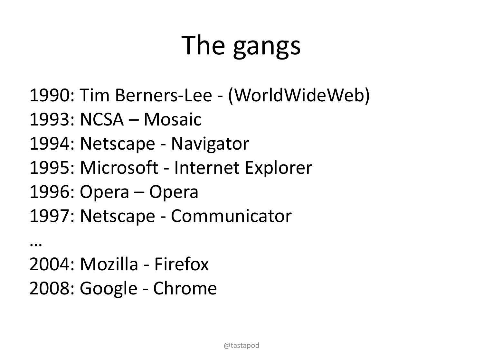# The gangs

- 1990: Tim Berners-Lee (WorldWideWeb)
- 1993: NCSA Mosaic
- 1994: Netscape Navigator
- 1995: Microsoft Internet Explorer
- 1996: Opera Opera
- 1997: Netscape Communicator

… 2004: Mozilla - Firefox 2008: Google - Chrome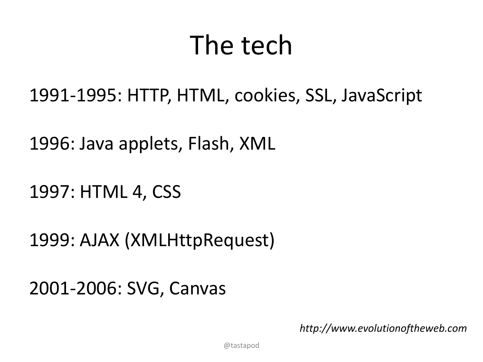## The tech

1991-1995: HTTP, HTML, cookies, SSL, JavaScript

1996: Java applets, Flash, XML

1997: HTML 4, CSS

1999: AJAX (XMLHttpRequest)

2001-2006: SVG, Canvas

*http://www.evolutionoftheweb.com*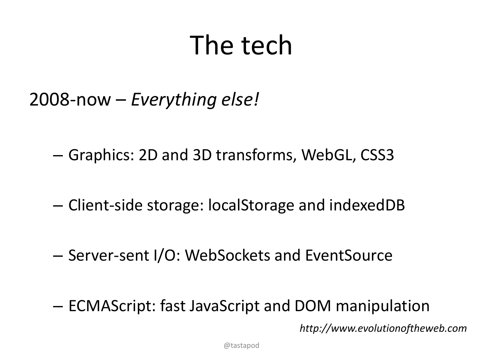# The tech

2008-now – *Everything else!*

– Graphics: 2D and 3D transforms, WebGL, CSS3

– Client-side storage: localStorage and indexedDB

– Server-sent I/O: WebSockets and EventSource

– ECMAScript: fast JavaScript and DOM manipulation

*http://www.evolutionoftheweb.com*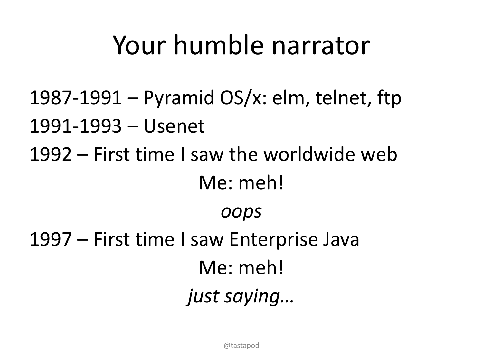## Your humble narrator

- 1987-1991 Pyramid OS/x: elm, telnet, ftp
- 1991-1993 Usenet
- 1992 First time I saw the worldwide web Me: meh!

*oops*

1997 – First time I saw Enterprise Java Me: meh! *just saying…*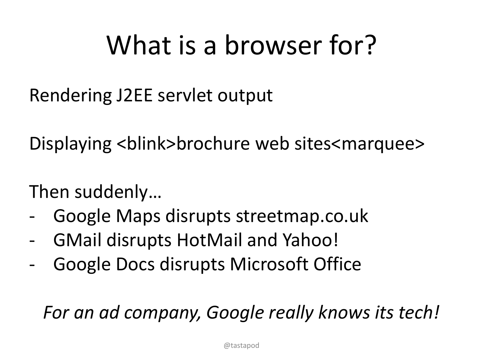# What is a browser for?

Rendering J2EE servlet output

Displaying <br/>blink>brochure web sites<marquee>

Then suddenly…

- Google Maps disrupts streetmap.co.uk
- GMail disrupts HotMail and Yahoo!
- Google Docs disrupts Microsoft Office

*For an ad company, Google really knows its tech!*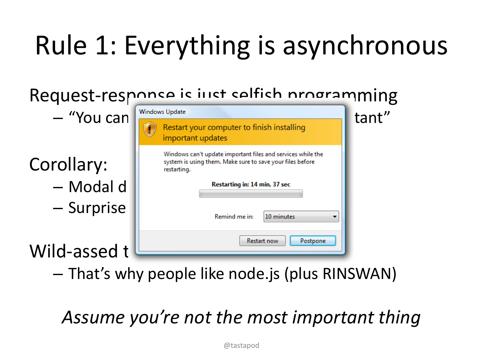# Rule 1: Everything is asynchronous

| Request-response is inst selfish programming |                                                                                                                                         |       |
|----------------------------------------------|-----------------------------------------------------------------------------------------------------------------------------------------|-------|
| - "You can                                   | <b>Windows Update</b>                                                                                                                   | tant" |
|                                              | Restart your computer to finish installing<br>important updates                                                                         |       |
| Corollary:                                   | Windows can't update important files and services while the<br>system is using them. Make sure to save your files before<br>restarting. |       |
| - Modal d                                    | Restarting in: 14 min, 37 sec                                                                                                           |       |
| - Surprise                                   | Remind me in:<br>10 minutes                                                                                                             |       |
| Wild-assed t                                 | <b>Restart now</b><br>Postpone                                                                                                          |       |

– That's why people like node.js (plus RINSWAN)

#### *Assume you're not the most important thing*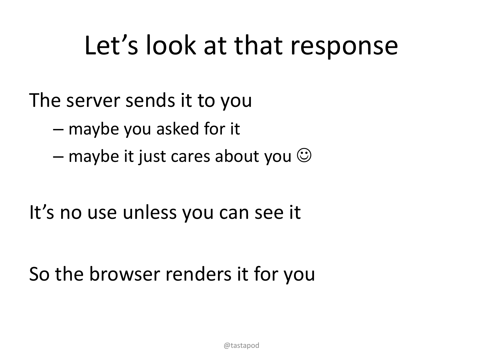## Let's look at that response

The server sends it to you

- maybe you asked for it
- $-$  maybe it just cares about you  $\odot$

It's no use unless you can see it

So the browser renders it for you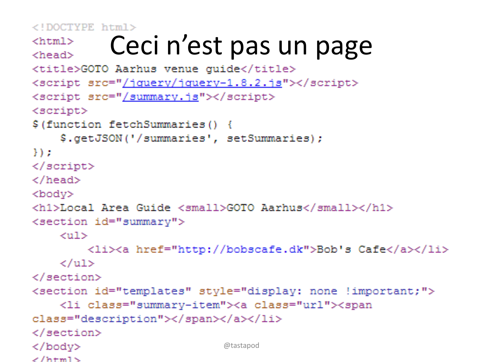<!DOCTYPE html>

 $\angle$ /html $\sim$ 

```
Ceci n'est pas un page
<html><head><title>GOTO Aarhus venue quide</title>
<script src="/jquery/jquery-1.8.2.js"></script>
<script src="/summary.js"></script>
<script>
$(function fetchSummaries() {
    $.getJSON('/summaries', setSummaries);
H\langle/script>
\langle/head>
<body>
<h1>Local Area Guide <small>GOTO Aarhus</small></h1>
<section id="summary">
    <sub>u1></sub></sub>
        <li><a href="http://bobscafe.dk">Bob's Cafe</a></li>
    \langle \text{u1} \rangle\langle/section>
<section id="templates" style="display: none !important;">
    <li class="summary-item"><a class="url"><span
class="description"></span></a></li>
\langle/section>
                              @tastapod\langle/body>
```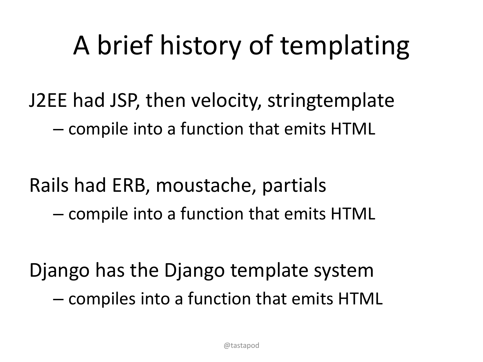# A brief history of templating

J2EE had JSP, then velocity, stringtemplate – compile into a function that emits HTML

Rails had ERB, moustache, partials – compile into a function that emits HTML

Django has the Django template system – compiles into a function that emits HTML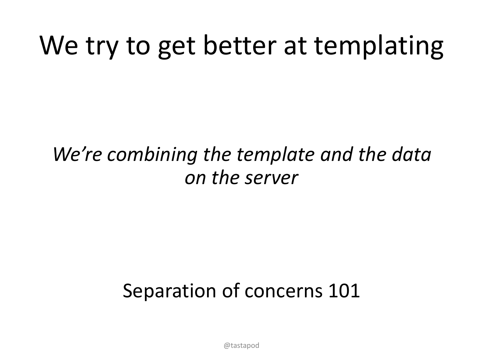# We try to get better at templating

#### *We're combining the template and the data on the server*

### Separation of concerns 101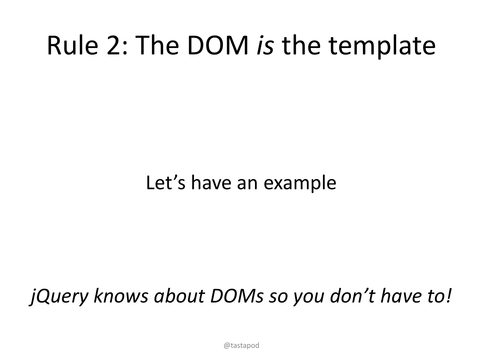## Rule 2: The DOM *is* the template

### Let's have an example

### *jQuery knows about DOMs so you don't have to!*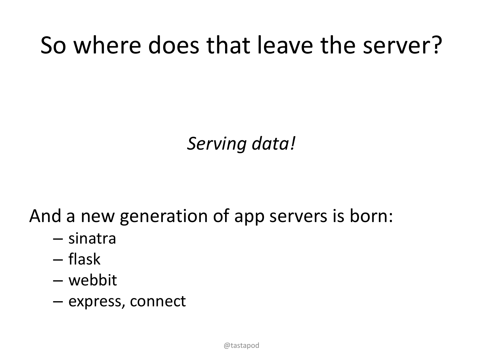### So where does that leave the server?

#### *Serving data!*

And a new generation of app servers is born:

- sinatra
- flask
- webbit
- express, connect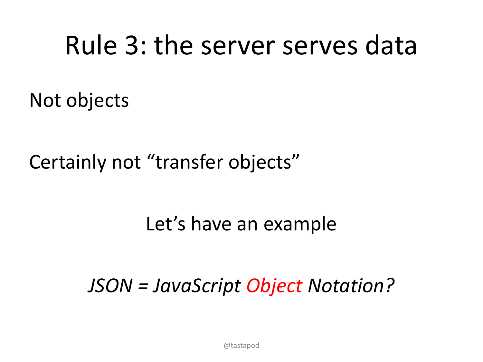### Rule 3: the server serves data

Not objects

Certainly not "transfer objects"

Let's have an example

*JSON = JavaScript Object Notation?*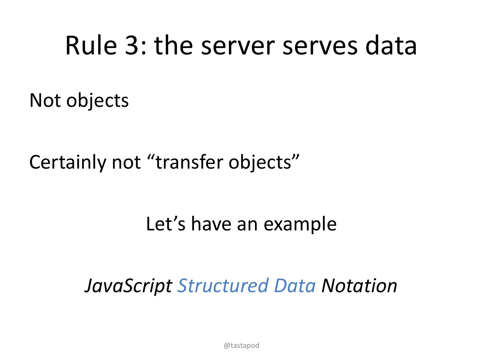## Rule 3: the server serves data

Not objects

Certainly not "transfer objects"

#### Let's have an example

*JavaScript Structured Data Notation*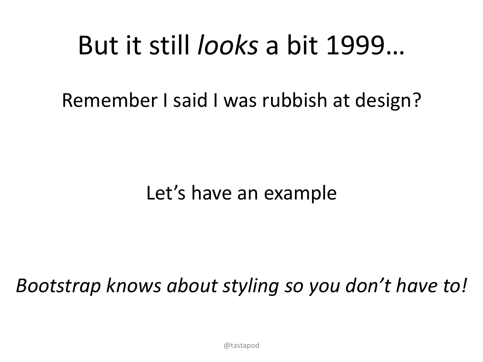## But it still *looks* a bit 1999…

Remember I said I was rubbish at design?

#### Let's have an example

#### *Bootstrap knows about styling so you don't have to!*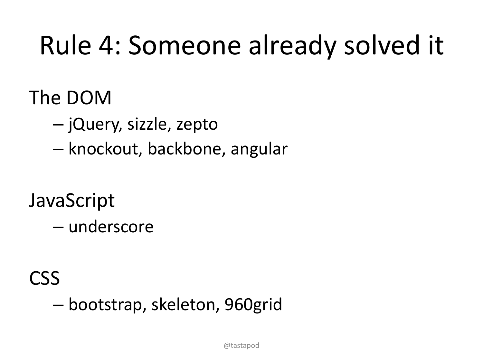# Rule 4: Someone already solved it

### The DOM

- jQuery, sizzle, zepto
- knockout, backbone, angular

### **JavaScript**

– underscore

#### CSS

– bootstrap, skeleton, 960grid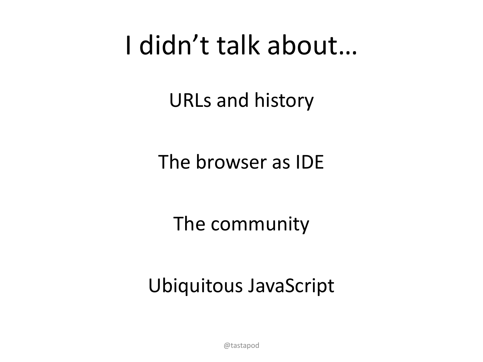## I didn't talk about…

URLs and history

The browser as IDE

The community

Ubiquitous JavaScript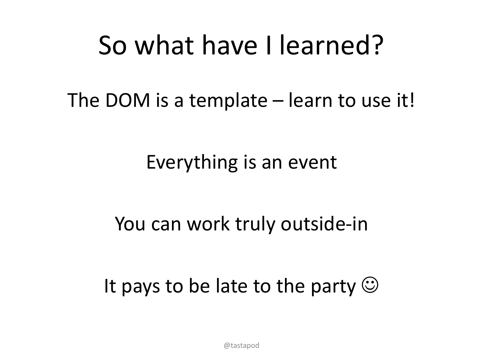### So what have I learned?

The DOM is a template – learn to use it!

#### Everything is an event

#### You can work truly outside-in

### It pays to be late to the party  $\odot$